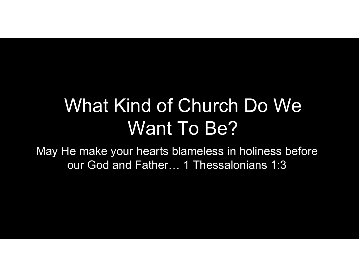# What Kind of Church Do We Want To Be?

May He make your hearts blameless in holiness before our God and Father... 1 Thessalonians 1:3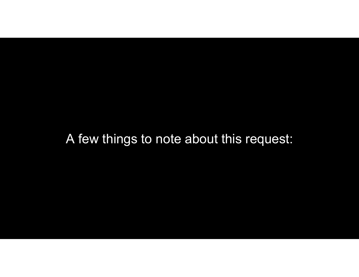#### A few things to note about this request: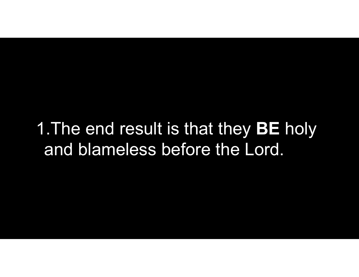# 1.The end result is that they BE holy and blameless before the Lord.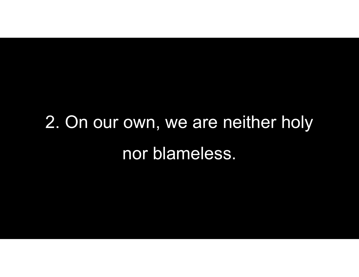# 2. On our own, we are neither holy nor blameless.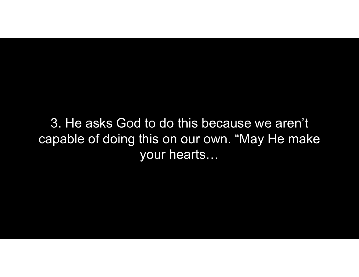3. He asks God to do this because we aren't capable of doing this on our own. "May He make your hearts…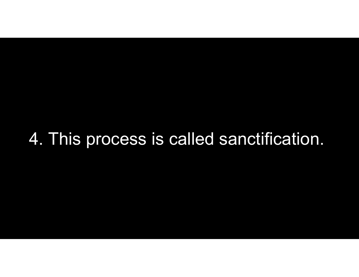## 4. This process is called sanctification.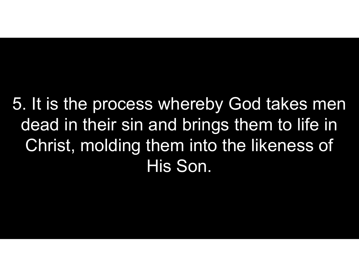5. It is the process whereby God takes men dead in their sin and brings them to life in Christ, molding them into the likeness of His Son.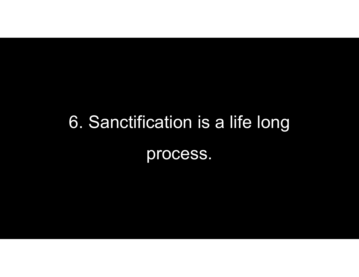# 6. Sanctification is a life long process.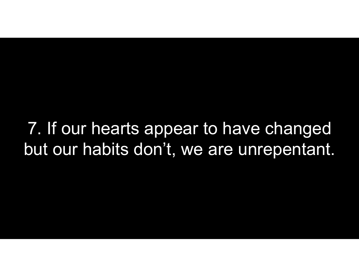7. If our hearts appear to have changed but our habits don't, we are unrepentant.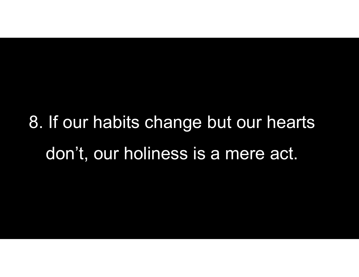8. If our habits change but our hearts don't, our holiness is a mere act.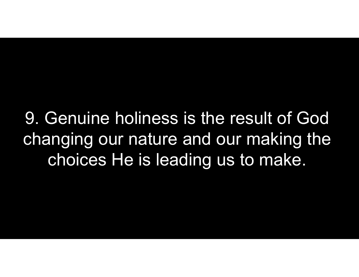9. Genuine holiness is the result of God changing our nature and our making the choices He is leading us to make.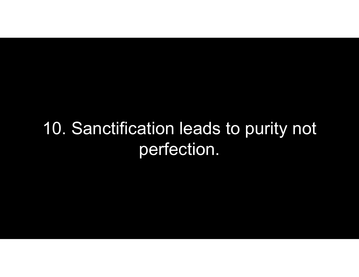# 10. Sanctification leads to purity not perfection.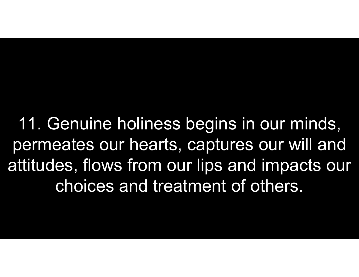11. Genuine holiness begins in our minds, permeates our hearts, captures our will and attitudes, flows from our lips and impacts our choices and treatment of others.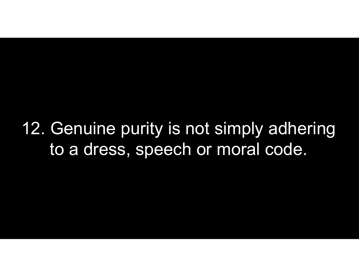# 12. Genuine purity is not simply adhering to a dress, speech or moral code.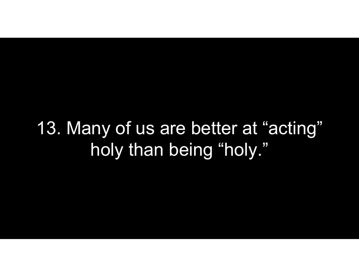13. Many of us are better at "acting" holy than being "holy."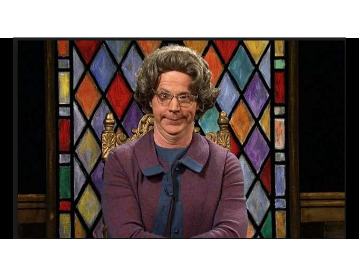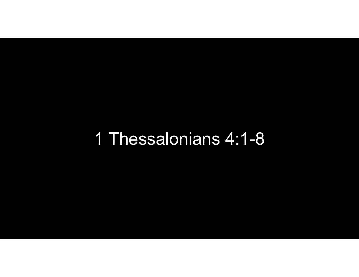### 1 Thessalonians 4:1-8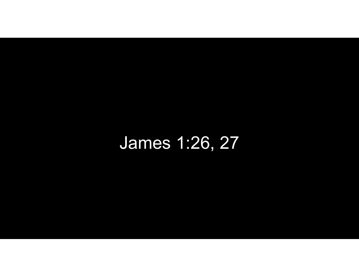## James 1:26, 27